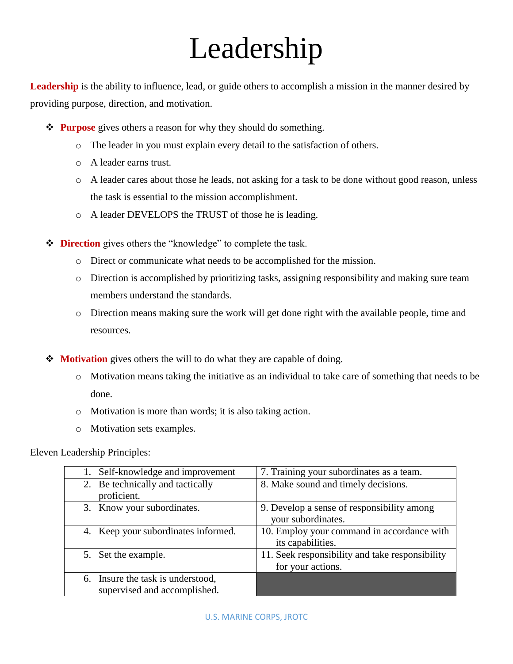# Leadership

Leadership is the ability to influence, lead, or guide others to accomplish a mission in the manner desired by providing purpose, direction, and motivation.

- $\diamond$  **Purpose** gives others a reason for why they should do something.
	- o The leader in you must explain every detail to the satisfaction of others.
	- o A leader earns trust.
	- o A leader cares about those he leads, not asking for a task to be done without good reason, unless the task is essential to the mission accomplishment.
	- o A leader DEVELOPS the TRUST of those he is leading.
- **Direction** gives others the "knowledge" to complete the task.
	- o Direct or communicate what needs to be accomplished for the mission.
	- o Direction is accomplished by prioritizing tasks, assigning responsibility and making sure team members understand the standards.
	- o Direction means making sure the work will get done right with the available people, time and resources.
- **◆ Motivation** gives others the will to do what they are capable of doing.
	- o Motivation means taking the initiative as an individual to take care of something that needs to be done.
	- o Motivation is more than words; it is also taking action.
	- o Motivation sets examples.

Eleven Leadership Principles:

| Self-knowledge and improvement       | 7. Training your subordinates as a team.        |
|--------------------------------------|-------------------------------------------------|
| 2. Be technically and tactically     | 8. Make sound and timely decisions.             |
| proficient.                          |                                                 |
| 3. Know your subordinates.           | 9. Develop a sense of responsibility among      |
|                                      | your subordinates.                              |
| 4. Keep your subordinates informed.  | 10. Employ your command in accordance with      |
|                                      | its capabilities.                               |
| 5. Set the example.                  | 11. Seek responsibility and take responsibility |
|                                      | for your actions.                               |
| Insure the task is understood,<br>6. |                                                 |
| supervised and accomplished.         |                                                 |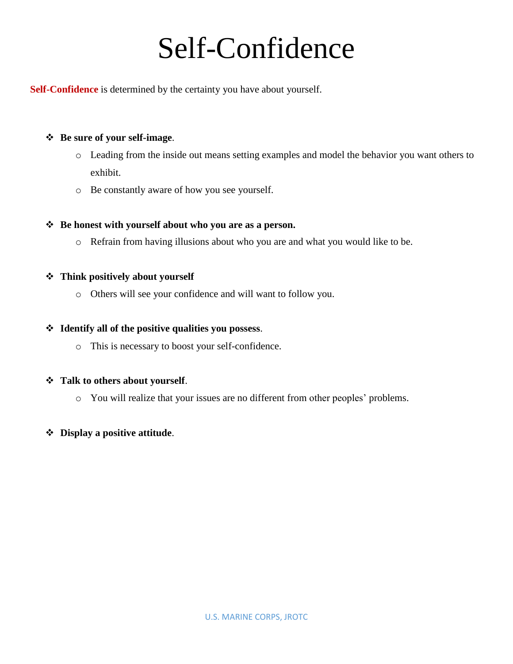### Self-Confidence

**Self-Confidence** is determined by the certainty you have about yourself.

#### **Be sure of your self-image**.

- o Leading from the inside out means setting examples and model the behavior you want others to exhibit.
- o Be constantly aware of how you see yourself.

#### **Be honest with yourself about who you are as a person.**

o Refrain from having illusions about who you are and what you would like to be.

#### **Think positively about yourself**

o Others will see your confidence and will want to follow you.

#### **Identify all of the positive qualities you possess**.

o This is necessary to boost your self-confidence.

#### **Talk to others about yourself**.

o You will realize that your issues are no different from other peoples' problems.

#### **Display a positive attitude**.